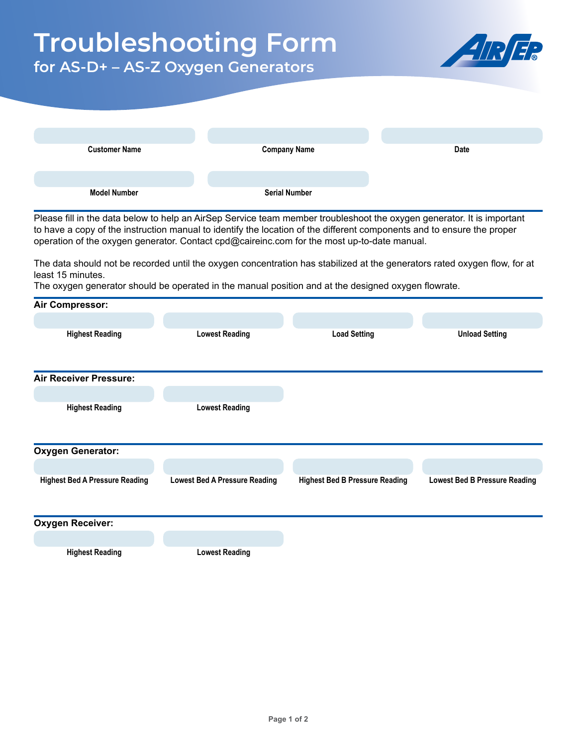## **Troubleshooting Form**

**for AS-D+ – AS-Z Oxygen Generators** 

| <b>Customer Name</b> | <b>Company Name</b>  | Date |
|----------------------|----------------------|------|
|                      |                      |      |
|                      |                      |      |
| <b>Model Number</b>  | <b>Serial Number</b> |      |

AIR Fa

Please fill in the data below to help an AirSep Service team member troubleshoot the oxygen generator. It is important to have a copy of the instruction manual to identify the location of the different components and to ensure the proper operation of the oxygen generator. Contact cpd@caireinc.com for the most up-to-date manual.

The data should not be recorded until the oxygen concentration has stabilized at the generators rated oxygen flow, for at least 15 minutes.

The oxygen generator should be operated in the manual position and at the designed oxygen flowrate.

| Air Compressor:                       |                                      |                                       |                                      |
|---------------------------------------|--------------------------------------|---------------------------------------|--------------------------------------|
|                                       |                                      |                                       |                                      |
| <b>Highest Reading</b>                | <b>Lowest Reading</b>                | <b>Load Setting</b>                   | <b>Unload Setting</b>                |
| <b>Air Receiver Pressure:</b>         |                                      |                                       |                                      |
|                                       |                                      |                                       |                                      |
| <b>Highest Reading</b>                | <b>Lowest Reading</b>                |                                       |                                      |
| <b>Oxygen Generator:</b>              |                                      |                                       |                                      |
|                                       |                                      |                                       |                                      |
| <b>Highest Bed A Pressure Reading</b> | <b>Lowest Bed A Pressure Reading</b> | <b>Highest Bed B Pressure Reading</b> | <b>Lowest Bed B Pressure Reading</b> |
| <b>Oxygen Receiver:</b>               |                                      |                                       |                                      |
|                                       |                                      |                                       |                                      |
| <b>Highest Reading</b>                | <b>Lowest Reading</b>                |                                       |                                      |